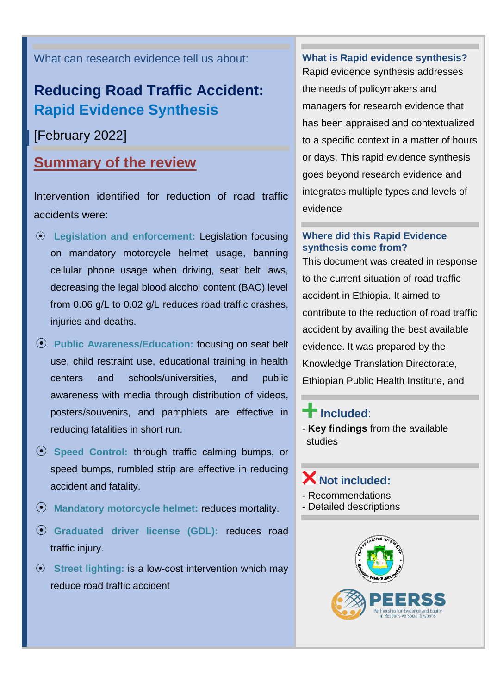### What can research evidence tell us about:

## **Reducing Road Traffic Accident: Rapid Evidence Synthesis**

### [February 2022]

## **Summary of the review**

Intervention identified for reduction of road traffic accidents were:

- ⦿ **Legislation and enforcement:** Legislation focusing on mandatory motorcycle helmet usage, banning cellular phone usage when driving, seat belt laws, decreasing the legal blood alcohol content (BAC) level from 0.06 g/L to 0.02 g/L reduces road traffic crashes, injuries and deaths.
- ⦿ **Public Awareness/Education:** focusing on seat belt use, child restraint use, educational training in health centers and schools/universities, and public awareness with media through distribution of videos, posters/souvenirs, and pamphlets are effective in reducing fatalities in short run.
- ⦿ **Speed Control:** through traffic calming bumps, or speed bumps, rumbled strip are effective in reducing accident and fatality.
- ⦿ **Mandatory motorcycle helmet:** reduces mortality.
- ⦿ **Graduated driver license (GDL):** reduces road traffic injury.
- ⦿ **Street lighting:** is a low-cost intervention which may reduce road traffic accident

#### **What is Rapid evidence synthesis?**

Rapid evidence synthesis addresses the needs of policymakers and managers for research evidence that has been appraised and contextualized to a specific context in a matter of hours or days. This rapid evidence synthesis goes beyond research evidence and integrates multiple types and levels of evidence

#### **Where did this Rapid Evidence synthesis come from?**

This document was created in response to the current situation of road traffic accident in Ethiopia. It aimed to contribute to the reduction of road traffic accident by availing the best available evidence. It was prepared by the Knowledge Translation Directorate, Ethiopian Public Health Institute, and

## **Included**:

- **Key findings** from the available studies

### **Not included:**

- Recommendations
- Detailed descriptions

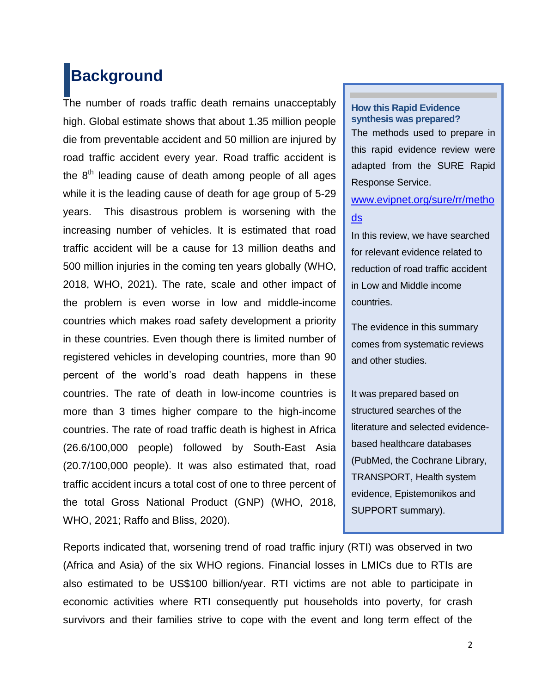# **Background**

The number of roads traffic death remains unacceptably high. Global estimate shows that about 1.35 million people die from preventable accident and 50 million are injured by road traffic accident every year. Road traffic accident is the  $8<sup>th</sup>$  leading cause of death among people of all ages while it is the leading cause of death for age group of 5-29 years. This disastrous problem is worsening with the increasing number of vehicles. It is estimated that road traffic accident will be a cause for 13 million deaths and 500 million injuries in the coming ten years globally (WHO, 2018, WHO, 2021). The rate, scale and other impact of the problem is even worse in low and middle-income countries which makes road safety development a priority in these countries. Even though there is limited number of registered vehicles in developing countries, more than 90 percent of the world"s road death happens in these countries. The rate of death in low-income countries is more than 3 times higher compare to the high-income countries. The rate of road traffic death is highest in Africa (26.6/100,000 people) followed by South-East Asia (20.7/100,000 people). It was also estimated that, road traffic accident incurs a total cost of one to three percent of the total Gross National Product (GNP) (WHO, 2018, WHO, 2021; Raffo and Bliss, 2020).

#### **How this Rapid Evidence synthesis was prepared?**

The methods used to prepare in this rapid evidence review were adapted from the SURE Rapid Response Service.

[www.evipnet.org/sure/rr/metho](http://www.evipnet.org/sure/rr/methods) [ds](http://www.evipnet.org/sure/rr/methods)

In this review, we have searched for relevant evidence related to reduction of road traffic accident in Low and Middle income countries.

The evidence in this summary comes from systematic reviews and other studies.

It was prepared based on structured searches of the literature and selected evidencebased healthcare databases (PubMed, the Cochrane Library, TRANSPORT, Health system evidence, Epistemonikos and SUPPORT summary).

Reports indicated that, worsening trend of road traffic injury (RTI) was observed in two (Africa and Asia) of the six WHO regions. Financial losses in LMICs due to RTIs are also estimated to be US\$100 billion/year. RTI victims are not able to participate in economic activities where RTI consequently put households into poverty, for crash survivors and their families strive to cope with the event and long term effect of the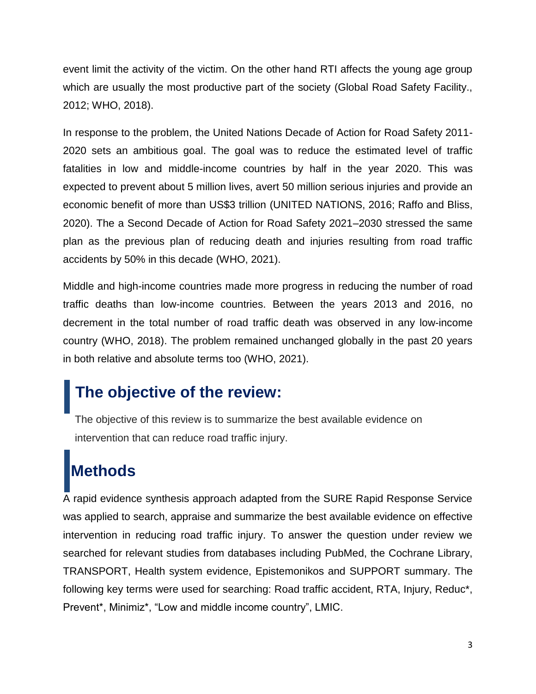event limit the activity of the victim. On the other hand RTI affects the young age group which are usually the most productive part of the society (Global Road Safety Facility., 2012; WHO, 2018).

In response to the problem, the United Nations Decade of Action for Road Safety 2011- 2020 sets an ambitious goal. The goal was to reduce the estimated level of traffic fatalities in low and middle-income countries by half in the year 2020. This was expected to prevent about 5 million lives, avert 50 million serious injuries and provide an economic benefit of more than US\$3 trillion (UNITED NATIONS, 2016; Raffo and Bliss, 2020). The a Second Decade of Action for Road Safety 2021–2030 stressed the same plan as the previous plan of reducing death and injuries resulting from road traffic accidents by 50% in this decade (WHO, 2021).

Middle and high-income countries made more progress in reducing the number of road traffic deaths than low-income countries. Between the years 2013 and 2016, no decrement in the total number of road traffic death was observed in any low-income country (WHO, 2018). The problem remained unchanged globally in the past 20 years in both relative and absolute terms too (WHO, 2021).

# **The objective of the review:**

The objective of this review is to summarize the best available evidence on intervention that can reduce road traffic injury.

## **Methods**

A rapid evidence synthesis approach adapted from the SURE Rapid Response Service was applied to search, appraise and summarize the best available evidence on effective intervention in reducing road traffic injury. To answer the question under review we searched for relevant studies from databases including PubMed, the Cochrane Library, TRANSPORT, Health system evidence, Epistemonikos and SUPPORT summary. The following key terms were used for searching: Road traffic accident, RTA, Injury, Reduc\*, Prevent\*, Minimiz\*, "Low and middle income country", LMIC.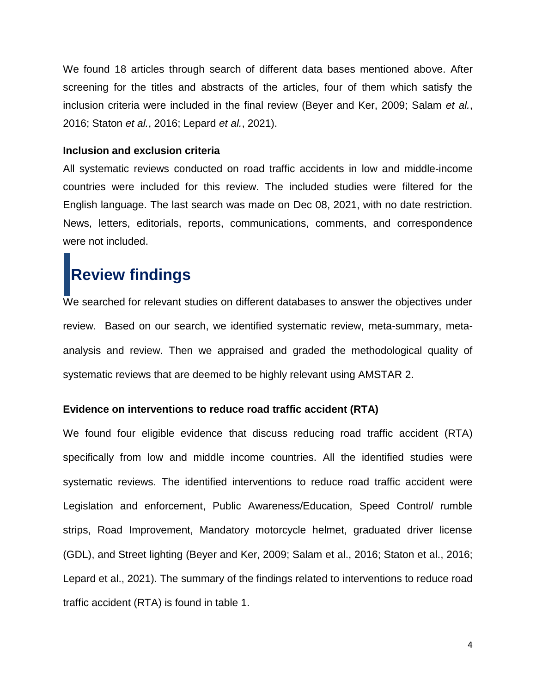We found 18 articles through search of different data bases mentioned above. After screening for the titles and abstracts of the articles, four of them which satisfy the inclusion criteria were included in the final review (Beyer and Ker, 2009; Salam *et al.*, 2016; Staton *et al.*, 2016; Lepard *et al.*, 2021).

#### **Inclusion and exclusion criteria**

All systematic reviews conducted on road traffic accidents in low and middle-income countries were included for this review. The included studies were filtered for the English language. The last search was made on Dec 08, 2021, with no date restriction. News, letters, editorials, reports, communications, comments, and correspondence were not included.

# **Review findings**

We searched for relevant studies on different databases to answer the objectives under review. Based on our search, we identified systematic review, meta-summary, metaanalysis and review. Then we appraised and graded the methodological quality of systematic reviews that are deemed to be highly relevant using AMSTAR 2.

#### **Evidence on interventions to reduce road traffic accident (RTA)**

We found four eligible evidence that discuss reducing road traffic accident (RTA) specifically from low and middle income countries. All the identified studies were systematic reviews. The identified interventions to reduce road traffic accident were Legislation and enforcement, Public Awareness/Education, Speed Control/ rumble strips, Road Improvement, Mandatory motorcycle helmet, graduated driver license (GDL), and Street lighting (Beyer and Ker, 2009; Salam et al., 2016; Staton et al., 2016; Lepard et al., 2021). The summary of the findings related to interventions to reduce road traffic accident (RTA) is found in table 1.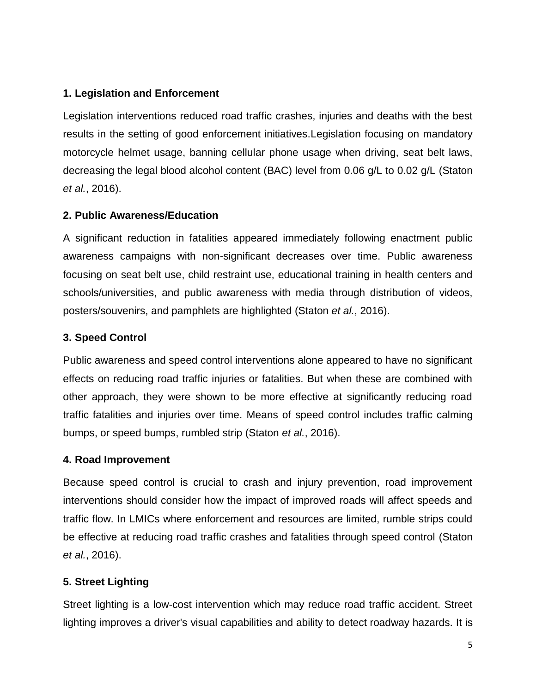#### **1. Legislation and Enforcement**

Legislation interventions reduced road traffic crashes, injuries and deaths with the best results in the setting of good enforcement initiatives.Legislation focusing on mandatory motorcycle helmet usage, banning cellular phone usage when driving, seat belt laws, decreasing the legal blood alcohol content (BAC) level from 0.06 g/L to 0.02 g/L (Staton *et al.*, 2016).

#### **2. Public Awareness/Education**

A significant reduction in fatalities appeared immediately following enactment public awareness campaigns with non-significant decreases over time. Public awareness focusing on seat belt use, child restraint use, educational training in health centers and schools/universities, and public awareness with media through distribution of videos, posters/souvenirs, and pamphlets are highlighted (Staton *et al.*, 2016).

#### **3. Speed Control**

Public awareness and speed control interventions alone appeared to have no significant effects on reducing road traffic injuries or fatalities. But when these are combined with other approach, they were shown to be more effective at significantly reducing road traffic fatalities and injuries over time. Means of speed control includes traffic calming bumps, or speed bumps, rumbled strip (Staton *et al.*, 2016).

#### **4. Road Improvement**

Because speed control is crucial to crash and injury prevention, road improvement interventions should consider how the impact of improved roads will affect speeds and traffic flow. In LMICs where enforcement and resources are limited, rumble strips could be effective at reducing road traffic crashes and fatalities through speed control (Staton *et al.*, 2016).

### **5. Street Lighting**

Street lighting is a low-cost intervention which may reduce road traffic accident. Street lighting improves a driver's visual capabilities and ability to detect roadway hazards. It is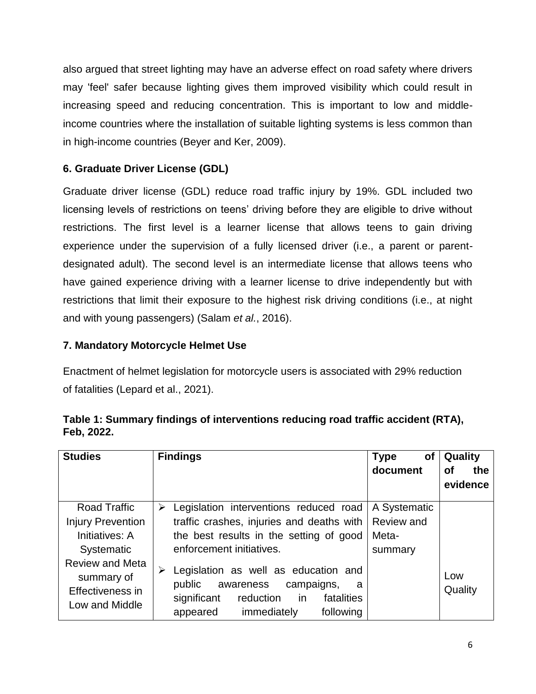also argued that street lighting may have an adverse effect on road safety where drivers may 'feel' safer because lighting gives them improved visibility which could result in increasing speed and reducing concentration. This is important to low and middleincome countries where the installation of suitable lighting systems is less common than in high-income countries (Beyer and Ker, 2009).

### **6. Graduate Driver License (GDL)**

Graduate driver license (GDL) reduce road traffic injury by 19%. GDL included two licensing levels of restrictions on teens' driving before they are eligible to drive without restrictions. The first level is a learner license that allows teens to gain driving experience under the supervision of a fully licensed driver (i.e., a parent or parentdesignated adult). The second level is an intermediate license that allows teens who have gained experience driving with a learner license to drive independently but with restrictions that limit their exposure to the highest risk driving conditions (i.e., at night and with young passengers) (Salam *et al.*, 2016).

### **7. Mandatory Motorcycle Helmet Use**

Enactment of helmet legislation for motorcycle users is associated with 29% reduction of fatalities (Lepard et al., 2021).

| <b>Studies</b>                                                             | <b>Findings</b>                                                                                                                                                        | <b>of</b><br>Type | Quality        |
|----------------------------------------------------------------------------|------------------------------------------------------------------------------------------------------------------------------------------------------------------------|-------------------|----------------|
|                                                                            |                                                                                                                                                                        | document          | οf<br>the      |
|                                                                            |                                                                                                                                                                        |                   | evidence       |
| Road Traffic                                                               | Legislation interventions reduced road<br>➤                                                                                                                            | A Systematic      |                |
| <b>Injury Prevention</b>                                                   | traffic crashes, injuries and deaths with                                                                                                                              | Review and        |                |
| Initiatives: A                                                             | the best results in the setting of good                                                                                                                                | Meta-             |                |
| Systematic                                                                 | enforcement initiatives.                                                                                                                                               | summary           |                |
| <b>Review and Meta</b><br>summary of<br>Effectiveness in<br>Low and Middle | Legislation as well as education and<br>public<br>awareness<br>campaigns,<br>a<br>in<br>significant<br>reduction<br>fatalities<br>appeared<br>immediately<br>following |                   | Low<br>Quality |

| Table 1: Summary findings of interventions reducing road traffic accident (RTA), |  |
|----------------------------------------------------------------------------------|--|
| Feb, 2022.                                                                       |  |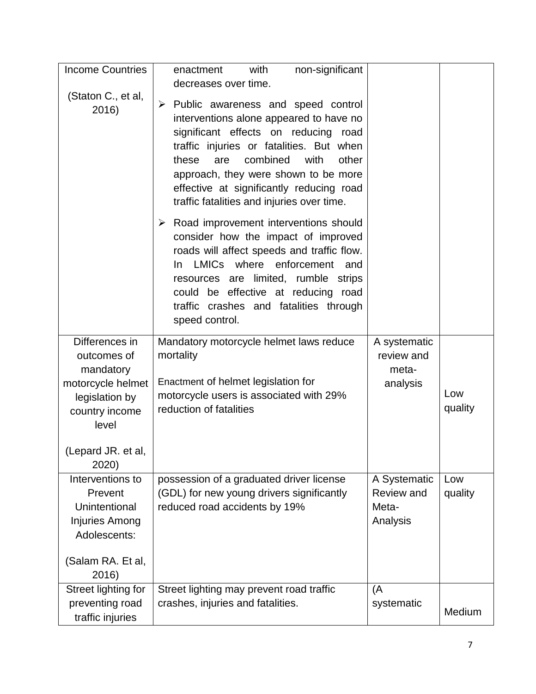| <b>Income Countries</b><br>(Staton C., et al,<br>2016)                         | non-significant<br>with<br>enactment<br>decreases over time.<br>Public awareness and speed control<br>$\blacktriangleright$<br>interventions alone appeared to have no<br>significant effects on reducing road<br>traffic injuries or fatalities. But when<br>combined<br>other<br>these<br>with<br>are<br>approach, they were shown to be more<br>effective at significantly reducing road<br>traffic fatalities and injuries over time.<br>$\triangleright$ Road improvement interventions should<br>consider how the impact of improved |                                                 |                |
|--------------------------------------------------------------------------------|--------------------------------------------------------------------------------------------------------------------------------------------------------------------------------------------------------------------------------------------------------------------------------------------------------------------------------------------------------------------------------------------------------------------------------------------------------------------------------------------------------------------------------------------|-------------------------------------------------|----------------|
|                                                                                | roads will affect speeds and traffic flow.<br>In LMICs where enforcement and<br>resources are limited, rumble strips<br>could be effective at reducing road<br>traffic crashes and fatalities through<br>speed control.                                                                                                                                                                                                                                                                                                                    |                                                 |                |
| Differences in<br>outcomes of                                                  | Mandatory motorcycle helmet laws reduce<br>mortality                                                                                                                                                                                                                                                                                                                                                                                                                                                                                       | A systematic<br>review and                      |                |
| mandatory<br>motorcycle helmet                                                 | Enactment of helmet legislation for                                                                                                                                                                                                                                                                                                                                                                                                                                                                                                        | meta-<br>analysis                               |                |
| legislation by<br>country income<br>level                                      | motorcycle users is associated with 29%<br>reduction of fatalities                                                                                                                                                                                                                                                                                                                                                                                                                                                                         |                                                 | Low<br>quality |
| (Lepard JR. et al.<br>2020)                                                    |                                                                                                                                                                                                                                                                                                                                                                                                                                                                                                                                            |                                                 |                |
| Interventions to<br>Prevent<br>Unintentional<br>Injuries Among<br>Adolescents: | possession of a graduated driver license<br>(GDL) for new young drivers significantly<br>reduced road accidents by 19%                                                                                                                                                                                                                                                                                                                                                                                                                     | A Systematic<br>Review and<br>Meta-<br>Analysis | Low<br>quality |
| (Salam RA. Et al,<br>2016)                                                     |                                                                                                                                                                                                                                                                                                                                                                                                                                                                                                                                            |                                                 |                |
| Street lighting for                                                            | Street lighting may prevent road traffic                                                                                                                                                                                                                                                                                                                                                                                                                                                                                                   | (A                                              |                |
| preventing road<br>traffic injuries                                            | crashes, injuries and fatalities.                                                                                                                                                                                                                                                                                                                                                                                                                                                                                                          | systematic                                      | Medium         |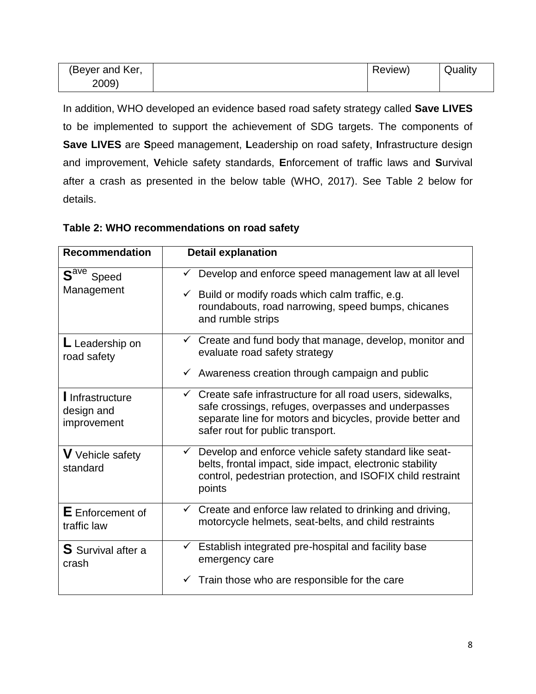| (Beyer and Ker, | Review) | Quality |
|-----------------|---------|---------|
| 2009)           |         |         |

In addition, WHO developed an evidence based road safety strategy called **Save LIVES** to be implemented to support the achievement of SDG targets. The components of **Save LIVES** are **S**peed management, **L**eadership on road safety, **I**nfrastructure design and improvement, **V**ehicle safety standards, **E**nforcement of traffic laws and **S**urvival after a crash as presented in the below table (WHO, 2017). See Table 2 below for details.

#### **Table 2: WHO recommendations on road safety**

| <b>Recommendation</b>                            | <b>Detail explanation</b>                                                                                                                                                                                                      |
|--------------------------------------------------|--------------------------------------------------------------------------------------------------------------------------------------------------------------------------------------------------------------------------------|
| $\mathbf{S}^{\text{ave}}$<br>Speed<br>Management | Develop and enforce speed management law at all level<br>$\checkmark$ Build or modify roads which calm traffic, e.g.<br>roundabouts, road narrowing, speed bumps, chicanes<br>and rumble strips                                |
| L Leadership on<br>road safety                   | $\checkmark$ Create and fund body that manage, develop, monitor and<br>evaluate road safety strategy<br>$\checkmark$ Awareness creation through campaign and public                                                            |
| I Infrastructure<br>design and<br>improvement    | $\checkmark$ Create safe infrastructure for all road users, sidewalks,<br>safe crossings, refuges, overpasses and underpasses<br>separate line for motors and bicycles, provide better and<br>safer rout for public transport. |
| $V$ Vehicle safety<br>standard                   | $\checkmark$ Develop and enforce vehicle safety standard like seat-<br>belts, frontal impact, side impact, electronic stability<br>control, pedestrian protection, and ISOFIX child restraint<br>points                        |
| E Enforcement of<br>traffic law                  | $\checkmark$ Create and enforce law related to drinking and driving,<br>motorcycle helmets, seat-belts, and child restraints                                                                                                   |
| <b>S</b> Survival after a<br>crash               | $\checkmark$ Establish integrated pre-hospital and facility base<br>emergency care                                                                                                                                             |
|                                                  | Train those who are responsible for the care                                                                                                                                                                                   |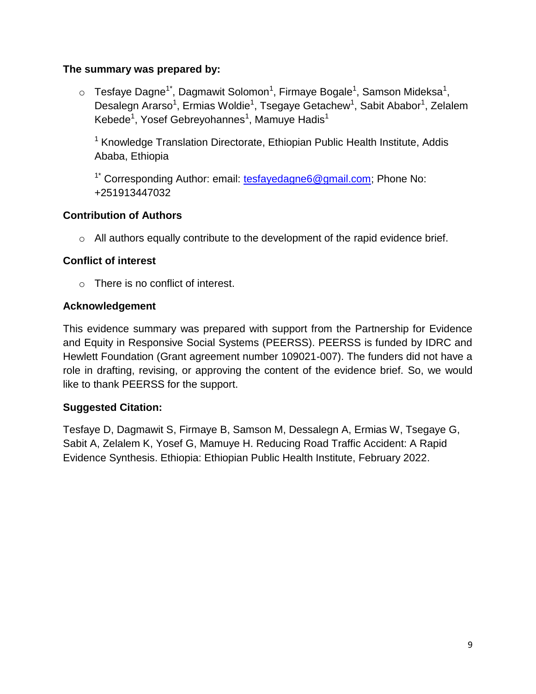#### **The summary was prepared by:**

 $\circ$  Tesfaye Dagne<sup>1\*</sup>, Dagmawit Solomon<sup>1</sup>, Firmaye Bogale<sup>1</sup>, Samson Mideksa<sup>1</sup>, Desalegn Ararso<sup>1</sup>, Ermias Woldie<sup>1</sup>, Tsegaye Getachew<sup>1</sup>, Sabit Ababor<sup>1</sup>, Zelalem Kebede<sup>1</sup>, Yosef Gebreyohannes<sup>1</sup>, Mamuye Hadis<sup>1</sup>

 $1$  Knowledge Translation Directorate, Ethiopian Public Health Institute, Addis Ababa, Ethiopia

<sup>1\*</sup> Corresponding Author: email: tesfavedagne6@gmail.com: Phone No: +251913447032

#### **Contribution of Authors**

o All authors equally contribute to the development of the rapid evidence brief.

#### **Conflict of interest**

o There is no conflict of interest.

#### **Acknowledgement**

This evidence summary was prepared with support from the Partnership for Evidence and Equity in Responsive Social Systems (PEERSS). PEERSS is funded by IDRC and Hewlett Foundation (Grant agreement number 109021-007). The funders did not have a role in drafting, revising, or approving the content of the evidence brief. So, we would like to thank PEERSS for the support.

### **Suggested Citation:**

Tesfaye D, Dagmawit S, Firmaye B, Samson M, Dessalegn A, Ermias W, Tsegaye G, Sabit A, Zelalem K, Yosef G, Mamuye H. Reducing Road Traffic Accident: A Rapid Evidence Synthesis. Ethiopia: Ethiopian Public Health Institute, February 2022.